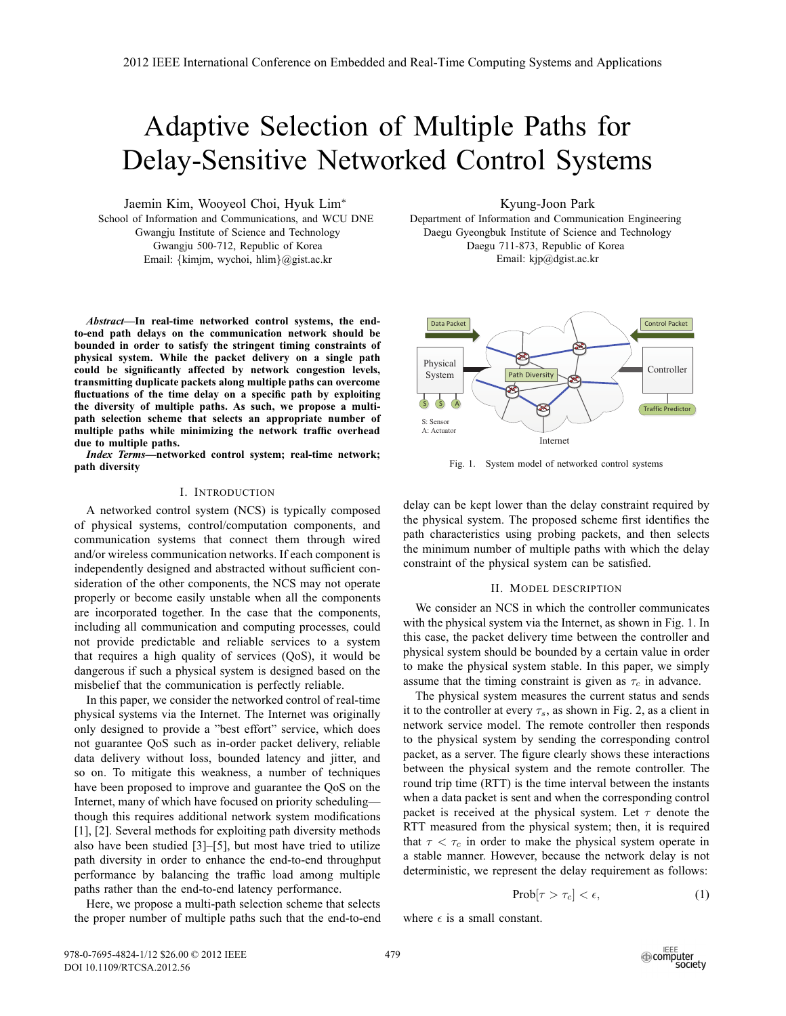# Adaptive Selection of Multiple Paths for Delay-Sensitive Networked Control Systems

Jaemin Kim, Wooyeol Choi, Hyuk Lim<sup>∗</sup> School of Information and Communications, and WCU DNE Gwangju Institute of Science and Technology Gwangju 500-712, Republic of Korea Email: {kimjm, wychoi, hlim}@gist.ac.kr

*Abstract***—In real-time networked control systems, the endto-end path delays on the communication network should be bounded in order to satisfy the stringent timing constraints of physical system. While the packet delivery on a single path could be significantly affected by network congestion levels, transmitting duplicate packets along multiple paths can overcome fluctuations of the time delay on a specific path by exploiting the diversity of multiple paths. As such, we propose a multipath selection scheme that selects an appropriate number of multiple paths while minimizing the network traffic overhead due to multiple paths.**

*Index Terms***—networked control system; real-time network; path diversity**

### I. INTRODUCTION

A networked control system (NCS) is typically composed of physical systems, control/computation components, and communication systems that connect them through wired and/or wireless communication networks. If each component is independently designed and abstracted without sufficient consideration of the other components, the NCS may not operate properly or become easily unstable when all the components are incorporated together. In the case that the components, including all communication and computing processes, could not provide predictable and reliable services to a system that requires a high quality of services (QoS), it would be dangerous if such a physical system is designed based on the misbelief that the communication is perfectly reliable.

In this paper, we consider the networked control of real-time physical systems via the Internet. The Internet was originally only designed to provide a "best effort" service, which does not guarantee QoS such as in-order packet delivery, reliable data delivery without loss, bounded latency and jitter, and so on. To mitigate this weakness, a number of techniques have been proposed to improve and guarantee the QoS on the Internet, many of which have focused on priority scheduling though this requires additional network system modifications [1], [2]. Several methods for exploiting path diversity methods also have been studied [3]–[5], but most have tried to utilize path diversity in order to enhance the end-to-end throughput performance by balancing the traffic load among multiple paths rather than the end-to-end latency performance.

Here, we propose a multi-path selection scheme that selects the proper number of multiple paths such that the end-to-end Kyung-Joon Park

Department of Information and Communication Engineering Daegu Gyeongbuk Institute of Science and Technology Daegu 711-873, Republic of Korea Email: kjp@dgist.ac.kr



Fig. 1. System model of networked control systems

delay can be kept lower than the delay constraint required by the physical system. The proposed scheme first identifies the path characteristics using probing packets, and then selects the minimum number of multiple paths with which the delay constraint of the physical system can be satisfied.

#### II. MODEL DESCRIPTION

We consider an NCS in which the controller communicates with the physical system via the Internet, as shown in Fig. 1. In this case, the packet delivery time between the controller and physical system should be bounded by a certain value in order to make the physical system stable. In this paper, we simply assume that the timing constraint is given as  $\tau_c$  in advance.

The physical system measures the current status and sends it to the controller at every  $\tau_s$ , as shown in Fig. 2, as a client in network service model. The remote controller then responds to the physical system by sending the corresponding control packet, as a server. The figure clearly shows these interactions between the physical system and the remote controller. The round trip time (RTT) is the time interval between the instants when a data packet is sent and when the corresponding control packet is received at the physical system. Let  $\tau$  denote the RTT measured from the physical system; then, it is required that  $\tau < \tau_c$  in order to make the physical system operate in a stable manner. However, because the network delay is not deterministic, we represent the delay requirement as follows:

$$
Prob[\tau > \tau_c] < \epsilon,
$$
\n(1)

where  $\epsilon$  is a small constant.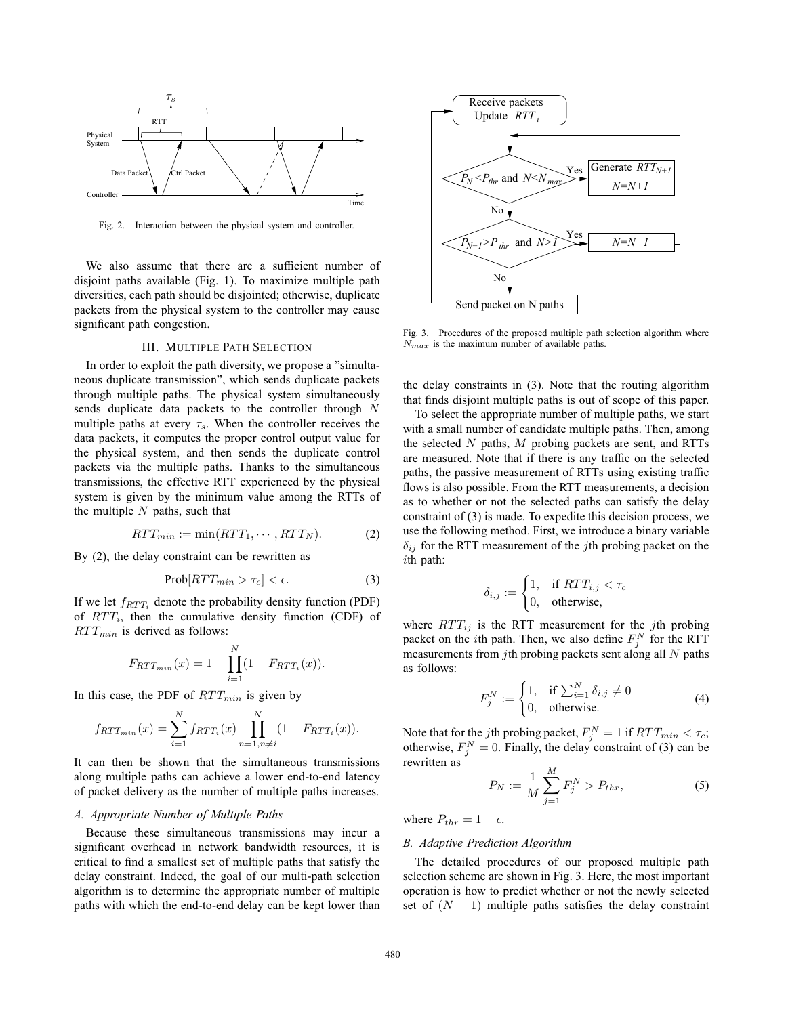

Fig. 2. Interaction between the physical system and controller.

We also assume that there are a sufficient number of disjoint paths available (Fig. 1). To maximize multiple path diversities, each path should be disjointed; otherwise, duplicate packets from the physical system to the controller may cause significant path congestion.

## III. MULTIPLE PATH SELECTION

In order to exploit the path diversity, we propose a "simultaneous duplicate transmission", which sends duplicate packets through multiple paths. The physical system simultaneously sends duplicate data packets to the controller through N multiple paths at every  $\tau_s$ . When the controller receives the data packets, it computes the proper control output value for the physical system, and then sends the duplicate control packets via the multiple paths. Thanks to the simultaneous transmissions, the effective RTT experienced by the physical system is given by the minimum value among the RTTs of the multiple  $N$  paths, such that

$$
RTT_{min} := \min(RTT_1, \cdots, RTT_N). \tag{2}
$$

By (2), the delay constraint can be rewritten as

$$
Prob[RTT_{min} > \tau_c] < \epsilon.
$$
 (3)

If we let  $f_{RTT_i}$  denote the probability density function (PDF) of  $RTT_i$ , then the cumulative density function (CDF) of  $RTT_{min}$  is derived as follows:

$$
F_{RTT_{min}}(x) = 1 - \prod_{i=1}^{N} (1 - F_{RTT_i}(x)).
$$

In this case, the PDF of  $RTT_{min}$  is given by

$$
f_{RTT_{min}}(x) = \sum_{i=1}^{N} f_{RTT_i}(x) \prod_{n=1, n \neq i}^{N} (1 - F_{RTT_i}(x)).
$$

It can then be shown that the simultaneous transmissions along multiple paths can achieve a lower end-to-end latency of packet delivery as the number of multiple paths increases.

# *A. Appropriate Number of Multiple Paths*

Because these simultaneous transmissions may incur a significant overhead in network bandwidth resources, it is critical to find a smallest set of multiple paths that satisfy the delay constraint. Indeed, the goal of our multi-path selection algorithm is to determine the appropriate number of multiple paths with which the end-to-end delay can be kept lower than



Fig. 3. Procedures of the proposed multiple path selection algorithm where  $N_{max}$  is the maximum number of available paths.

the delay constraints in (3). Note that the routing algorithm that finds disjoint multiple paths is out of scope of this paper.

To select the appropriate number of multiple paths, we start with a small number of candidate multiple paths. Then, among the selected  $N$  paths,  $M$  probing packets are sent, and RTTs are measured. Note that if there is any traffic on the selected paths, the passive measurement of RTTs using existing traffic flows is also possible. From the RTT measurements, a decision as to whether or not the selected paths can satisfy the delay constraint of (3) is made. To expedite this decision process, we use the following method. First, we introduce a binary variable  $\delta_{ij}$  for the RTT measurement of the *j*th probing packet on the ith path:

$$
\delta_{i,j} := \begin{cases} 1, & \text{if } RTT_{i,j} < \tau_c \\ 0, & \text{otherwise,} \end{cases}
$$

where  $RTT_{ij}$  is the RTT measurement for the jth probing packet on the *i*th path. Then, we also define  $F_j^N$  for the RTT measurements from jth probing packets sent along all  $N$  paths as follows:

$$
F_j^N := \begin{cases} 1, & \text{if } \sum_{i=1}^N \delta_{i,j} \neq 0 \\ 0, & \text{otherwise.} \end{cases}
$$
 (4)

Note that for the *j*th probing packet,  $F_j^N = 1$  if  $RTT_{min} < \tau_c$ ; otherwise,  $F_j^N = 0$ . Finally, the delay constraint of (3) can be rewritten as

$$
P_N := \frac{1}{M} \sum_{j=1}^{M} F_j^N > P_{thr},
$$
\n(5)

where  $P_{thr} = 1 - \epsilon$ .

#### *B. Adaptive Prediction Algorithm*

The detailed procedures of our proposed multiple path selection scheme are shown in Fig. 3. Here, the most important operation is how to predict whether or not the newly selected set of  $(N - 1)$  multiple paths satisfies the delay constraint